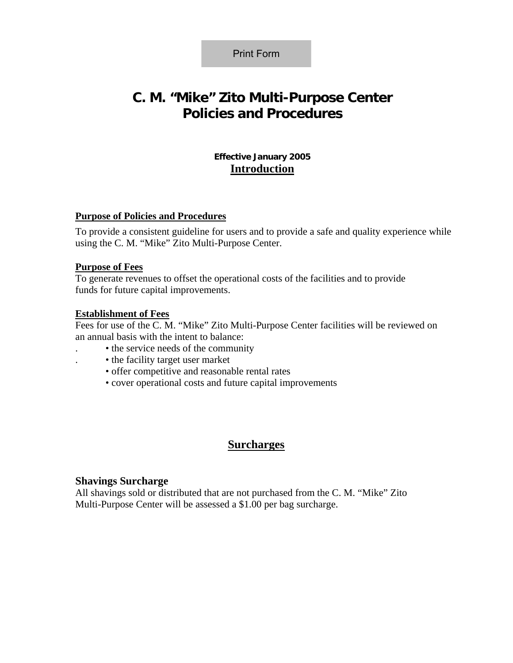Print Form

# **C. M. "Mike" Zito Multi-Purpose Center Policies and Procedures**

## **Effective January 2005 Introduction**

#### **Purpose of Policies and Procedures**

To provide a consistent guideline for users and to provide a safe and quality experience while using the C. M. "Mike" Zito Multi-Purpose Center.

#### **Purpose of Fees**

To generate revenues to offset the operational costs of the facilities and to provide funds for future capital improvements.

#### **Establishment of Fees**

Fees for use of the C. M. "Mike" Zito Multi-Purpose Center facilities will be reviewed on an annual basis with the intent to balance:

- . the service needs of the community
- . the facility target user market
- offer competitive and reasonable rental rates
- cover operational costs and future capital improvements

# **Surcharges**

#### **Shavings Surcharge**

All shavings sold or distributed that are not purchased from the C. M. "Mike" Zito Multi-Purpose Center will be assessed a \$1.00 per bag surcharge.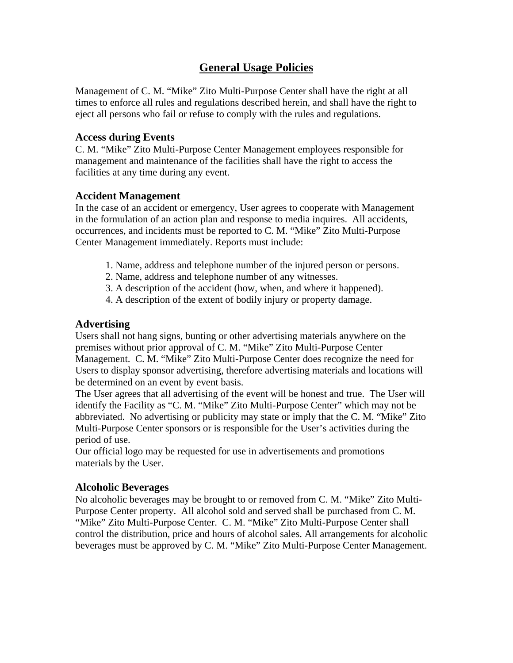# **General Usage Policies**

Management of C. M. "Mike" Zito Multi-Purpose Center shall have the right at all times to enforce all rules and regulations described herein, and shall have the right to eject all persons who fail or refuse to comply with the rules and regulations.

#### **Access during Events**

C. M. "Mike" Zito Multi-Purpose Center Management employees responsible for management and maintenance of the facilities shall have the right to access the facilities at any time during any event.

#### **Accident Management**

In the case of an accident or emergency, User agrees to cooperate with Management in the formulation of an action plan and response to media inquires. All accidents, occurrences, and incidents must be reported to C. M. "Mike" Zito Multi-Purpose Center Management immediately. Reports must include:

- 1. Name, address and telephone number of the injured person or persons.
- 2. Name, address and telephone number of any witnesses.
- 3. A description of the accident (how, when, and where it happened).
- 4. A description of the extent of bodily injury or property damage.

## **Advertising**

Users shall not hang signs, bunting or other advertising materials anywhere on the premises without prior approval of C. M. "Mike" Zito Multi-Purpose Center Management. C. M. "Mike" Zito Multi-Purpose Center does recognize the need for Users to display sponsor advertising, therefore advertising materials and locations will be determined on an event by event basis.

The User agrees that all advertising of the event will be honest and true. The User will identify the Facility as "C. M. "Mike" Zito Multi-Purpose Center" which may not be abbreviated. No advertising or publicity may state or imply that the C. M. "Mike" Zito Multi-Purpose Center sponsors or is responsible for the User's activities during the period of use.

Our official logo may be requested for use in advertisements and promotions materials by the User.

## **Alcoholic Beverages**

No alcoholic beverages may be brought to or removed from C. M. "Mike" Zito Multi-Purpose Center property. All alcohol sold and served shall be purchased from C. M. "Mike" Zito Multi-Purpose Center. C. M. "Mike" Zito Multi-Purpose Center shall control the distribution, price and hours of alcohol sales. All arrangements for alcoholic beverages must be approved by C. M. "Mike" Zito Multi-Purpose Center Management.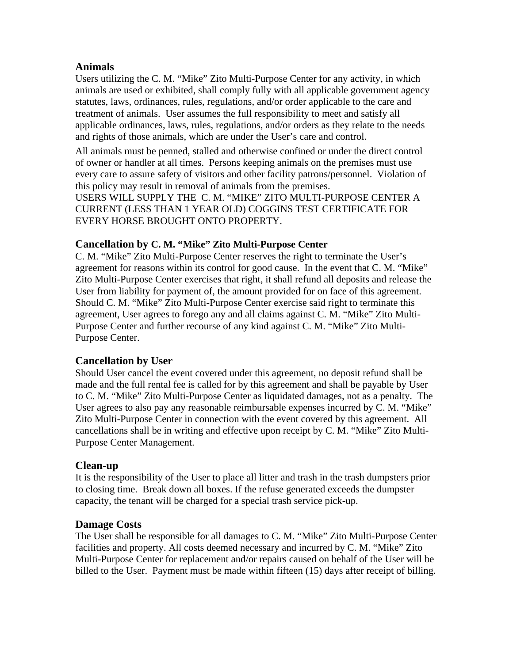## **Animals**

Users utilizing the C. M. "Mike" Zito Multi-Purpose Center for any activity, in which animals are used or exhibited, shall comply fully with all applicable government agency statutes, laws, ordinances, rules, regulations, and/or order applicable to the care and treatment of animals. User assumes the full responsibility to meet and satisfy all applicable ordinances, laws, rules, regulations, and/or orders as they relate to the needs and rights of those animals, which are under the User's care and control.

All animals must be penned, stalled and otherwise confined or under the direct control of owner or handler at all times. Persons keeping animals on the premises must use every care to assure safety of visitors and other facility patrons/personnel. Violation of this policy may result in removal of animals from the premises.

USERS WILL SUPPLY THE C. M. "MIKE" ZITO MULTI-PURPOSE CENTER A CURRENT (LESS THAN 1 YEAR OLD) COGGINS TEST CERTIFICATE FOR EVERY HORSE BROUGHT ONTO PROPERTY.

## **Cancellation by C. M. "Mike" Zito Multi-Purpose Center**

C. M. "Mike" Zito Multi-Purpose Center reserves the right to terminate the User's agreement for reasons within its control for good cause. In the event that C. M. "Mike" Zito Multi-Purpose Center exercises that right, it shall refund all deposits and release the User from liability for payment of, the amount provided for on face of this agreement. Should C. M. "Mike" Zito Multi-Purpose Center exercise said right to terminate this agreement, User agrees to forego any and all claims against C. M. "Mike" Zito Multi-Purpose Center and further recourse of any kind against C. M. "Mike" Zito Multi-Purpose Center.

# **Cancellation by User**

Should User cancel the event covered under this agreement, no deposit refund shall be made and the full rental fee is called for by this agreement and shall be payable by User to C. M. "Mike" Zito Multi-Purpose Center as liquidated damages, not as a penalty. The User agrees to also pay any reasonable reimbursable expenses incurred by C. M. "Mike" Zito Multi-Purpose Center in connection with the event covered by this agreement. All cancellations shall be in writing and effective upon receipt by C. M. "Mike" Zito Multi-Purpose Center Management.

# **Clean-up**

It is the responsibility of the User to place all litter and trash in the trash dumpsters prior to closing time. Break down all boxes. If the refuse generated exceeds the dumpster capacity, the tenant will be charged for a special trash service pick-up.

## **Damage Costs**

The User shall be responsible for all damages to C. M. "Mike" Zito Multi-Purpose Center facilities and property. All costs deemed necessary and incurred by C. M. "Mike" Zito Multi-Purpose Center for replacement and/or repairs caused on behalf of the User will be billed to the User. Payment must be made within fifteen (15) days after receipt of billing.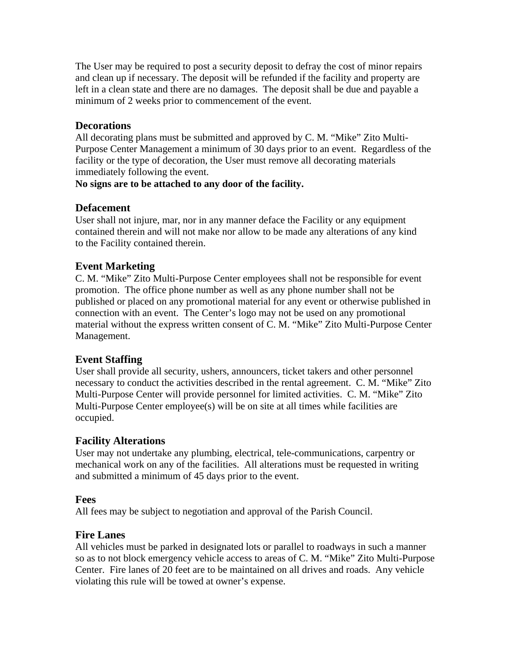The User may be required to post a security deposit to defray the cost of minor repairs and clean up if necessary. The deposit will be refunded if the facility and property are left in a clean state and there are no damages. The deposit shall be due and payable a minimum of 2 weeks prior to commencement of the event.

## **Decorations**

All decorating plans must be submitted and approved by C. M. "Mike" Zito Multi-Purpose Center Management a minimum of 30 days prior to an event. Regardless of the facility or the type of decoration, the User must remove all decorating materials immediately following the event.

#### **No signs are to be attached to any door of the facility.**

#### **Defacement**

User shall not injure, mar, nor in any manner deface the Facility or any equipment contained therein and will not make nor allow to be made any alterations of any kind to the Facility contained therein.

## **Event Marketing**

C. M. "Mike" Zito Multi-Purpose Center employees shall not be responsible for event promotion. The office phone number as well as any phone number shall not be published or placed on any promotional material for any event or otherwise published in connection with an event. The Center's logo may not be used on any promotional material without the express written consent of C. M. "Mike" Zito Multi-Purpose Center Management.

## **Event Staffing**

User shall provide all security, ushers, announcers, ticket takers and other personnel necessary to conduct the activities described in the rental agreement. C. M. "Mike" Zito Multi-Purpose Center will provide personnel for limited activities. C. M. "Mike" Zito Multi-Purpose Center employee(s) will be on site at all times while facilities are occupied.

## **Facility Alterations**

User may not undertake any plumbing, electrical, tele-communications, carpentry or mechanical work on any of the facilities. All alterations must be requested in writing and submitted a minimum of 45 days prior to the event.

## **Fees**

All fees may be subject to negotiation and approval of the Parish Council.

## **Fire Lanes**

All vehicles must be parked in designated lots or parallel to roadways in such a manner so as to not block emergency vehicle access to areas of C. M. "Mike" Zito Multi-Purpose Center. Fire lanes of 20 feet are to be maintained on all drives and roads. Any vehicle violating this rule will be towed at owner's expense.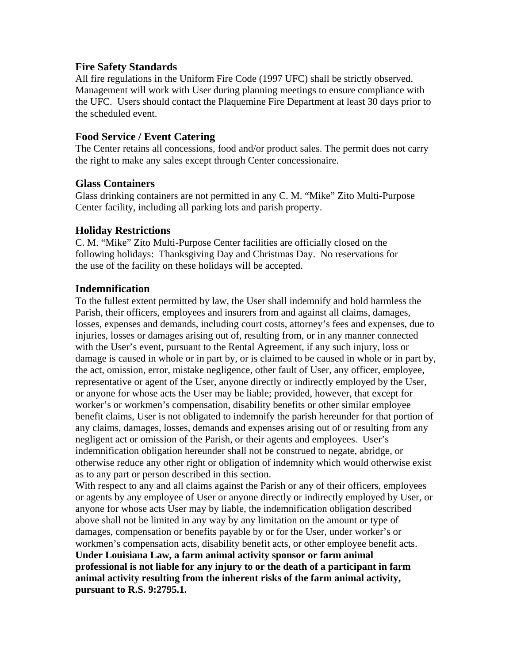## **Fire Safety Standards**

All fire regulations in the Uniform Fire Code (1997 UFC) shall be strictly observed. Management will work with User during planning meetings to ensure compliance with the UFC. Users should contact the Plaquemine Fire Department at least 30 days prior to the scheduled event.

## **Food Service / Event Catering**

The Center retains all concessions, food and/or product sales. The permit does not carry the right to make any sales except through Center concessionaire.

## **Glass Containers**

Glass drinking containers are not permitted in any C. M. "Mike" Zito Multi-Purpose Center facility, including all parking lots and parish property.

## **Holiday Restrictions**

C. M. "Mike" Zito Multi-Purpose Center facilities are officially closed on the following holidays: Thanksgiving Day and Christmas Day. No reservations for the use of the facility on these holidays will be accepted.

## **Indemnification**

To the fullest extent permitted by law, the User shall indemnify and hold harmless the Parish, their officers, employees and insurers from and against all claims, damages, losses, expenses and demands, including court costs, attorney's fees and expenses, due to injuries, losses or damages arising out of, resulting from, or in any manner connected with the User's event, pursuant to the Rental Agreement, if any such injury, loss or damage is caused in whole or in part by, or is claimed to be caused in whole or in part by, the act, omission, error, mistake negligence, other fault of User, any officer, employee, representative or agent of the User, anyone directly or indirectly employed by the User, or anyone for whose acts the User may be liable; provided, however, that except for worker's or workmen's compensation, disability benefits or other similar employee benefit claims, User is not obligated to indemnify the parish hereunder for that portion of any claims, damages, losses, demands and expenses arising out of or resulting from any negligent act or omission of the Parish, or their agents and employees. User's indemnification obligation hereunder shall not be construed to negate, abridge, or otherwise reduce any other right or obligation of indemnity which would otherwise exist as to any part or person described in this section.

With respect to any and all claims against the Parish or any of their officers, employees or agents by any employee of User or anyone directly or indirectly employed by User, or anyone for whose acts User may by liable, the indemnification obligation described above shall not be limited in any way by any limitation on the amount or type of damages, compensation or benefits payable by or for the User, under worker's or workmen's compensation acts, disability benefit acts, or other employee benefit acts. **Under Louisiana Law, a farm animal activity sponsor or farm animal professional is not liable for any injury to or the death of a participant in farm animal activity resulting from the inherent risks of the farm animal activity, pursuant to R.S. 9:2795.1.**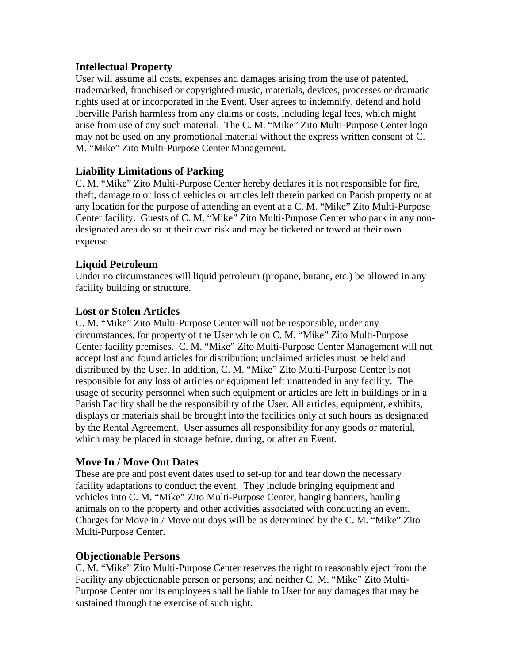## **Intellectual Property**

User will assume all costs, expenses and damages arising from the use of patented, trademarked, franchised or copyrighted music, materials, devices, processes or dramatic rights used at or incorporated in the Event. User agrees to indemnify, defend and hold Iberville Parish harmless from any claims or costs, including legal fees, which might arise from use of any such material. The C. M. "Mike" Zito Multi-Purpose Center logo may not be used on any promotional material without the express written consent of C. M. "Mike" Zito Multi-Purpose Center Management.

# **Liability Limitations of Parking**

C. M. "Mike" Zito Multi-Purpose Center hereby declares it is not responsible for fire, theft, damage to or loss of vehicles or articles left therein parked on Parish property or at any location for the purpose of attending an event at a C. M. "Mike" Zito Multi-Purpose Center facility. Guests of C. M. "Mike" Zito Multi-Purpose Center who park in any nondesignated area do so at their own risk and may be ticketed or towed at their own expense.

# **Liquid Petroleum**

Under no circumstances will liquid petroleum (propane, butane, etc.) be allowed in any facility building or structure.

## **Lost or Stolen Articles**

C. M. "Mike" Zito Multi-Purpose Center will not be responsible, under any circumstances, for property of the User while on C. M. "Mike" Zito Multi-Purpose Center facility premises. C. M. "Mike" Zito Multi-Purpose Center Management will not accept lost and found articles for distribution; unclaimed articles must be held and distributed by the User. In addition, C. M. "Mike" Zito Multi-Purpose Center is not responsible for any loss of articles or equipment left unattended in any facility. The usage of security personnel when such equipment or articles are left in buildings or in a Parish Facility shall be the responsibility of the User. All articles, equipment, exhibits, displays or materials shall be brought into the facilities only at such hours as designated by the Rental Agreement. User assumes all responsibility for any goods or material, which may be placed in storage before, during, or after an Event.

## **Move In / Move Out Dates**

These are pre and post event dates used to set-up for and tear down the necessary facility adaptations to conduct the event. They include bringing equipment and vehicles into C. M. "Mike" Zito Multi-Purpose Center, hanging banners, hauling animals on to the property and other activities associated with conducting an event. Charges for Move in / Move out days will be as determined by the C. M. "Mike" Zito Multi-Purpose Center.

# **Objectionable Persons**

C. M. "Mike" Zito Multi-Purpose Center reserves the right to reasonably eject from the Facility any objectionable person or persons; and neither C. M. "Mike" Zito Multi-Purpose Center nor its employees shall be liable to User for any damages that may be sustained through the exercise of such right.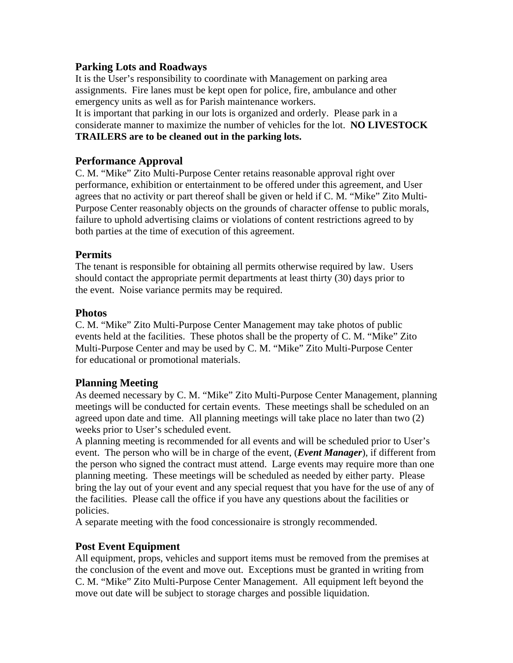## **Parking Lots and Roadways**

It is the User's responsibility to coordinate with Management on parking area assignments. Fire lanes must be kept open for police, fire, ambulance and other emergency units as well as for Parish maintenance workers.

It is important that parking in our lots is organized and orderly. Please park in a considerate manner to maximize the number of vehicles for the lot. **NO LIVESTOCK TRAILERS are to be cleaned out in the parking lots.** 

## **Performance Approval**

C. M. "Mike" Zito Multi-Purpose Center retains reasonable approval right over performance, exhibition or entertainment to be offered under this agreement, and User agrees that no activity or part thereof shall be given or held if C. M. "Mike" Zito Multi-Purpose Center reasonably objects on the grounds of character offense to public morals, failure to uphold advertising claims or violations of content restrictions agreed to by both parties at the time of execution of this agreement.

## **Permits**

The tenant is responsible for obtaining all permits otherwise required by law. Users should contact the appropriate permit departments at least thirty (30) days prior to the event. Noise variance permits may be required.

## **Photos**

C. M. "Mike" Zito Multi-Purpose Center Management may take photos of public events held at the facilities. These photos shall be the property of C. M. "Mike" Zito Multi-Purpose Center and may be used by C. M. "Mike" Zito Multi-Purpose Center for educational or promotional materials.

# **Planning Meeting**

As deemed necessary by C. M. "Mike" Zito Multi-Purpose Center Management, planning meetings will be conducted for certain events. These meetings shall be scheduled on an agreed upon date and time. All planning meetings will take place no later than two (2) weeks prior to User's scheduled event.

A planning meeting is recommended for all events and will be scheduled prior to User's event. The person who will be in charge of the event, (*Event Manager*), if different from the person who signed the contract must attend. Large events may require more than one planning meeting. These meetings will be scheduled as needed by either party. Please bring the lay out of your event and any special request that you have for the use of any of the facilities. Please call the office if you have any questions about the facilities or policies.

A separate meeting with the food concessionaire is strongly recommended.

# **Post Event Equipment**

All equipment, props, vehicles and support items must be removed from the premises at the conclusion of the event and move out. Exceptions must be granted in writing from C. M. "Mike" Zito Multi-Purpose Center Management. All equipment left beyond the move out date will be subject to storage charges and possible liquidation.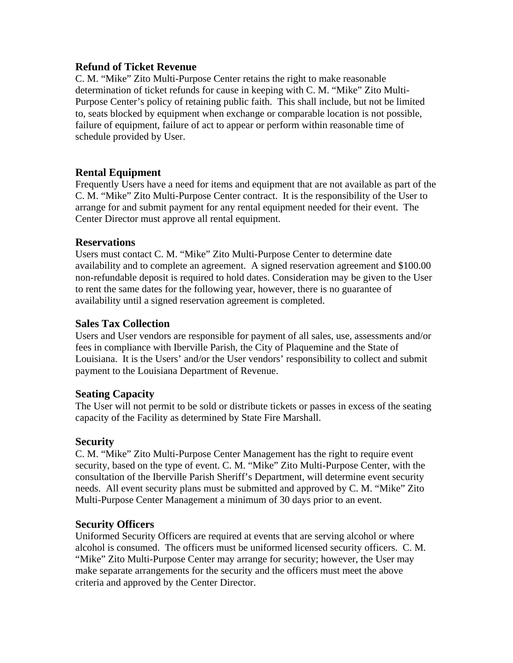## **Refund of Ticket Revenue**

C. M. "Mike" Zito Multi-Purpose Center retains the right to make reasonable determination of ticket refunds for cause in keeping with C. M. "Mike" Zito Multi-Purpose Center's policy of retaining public faith. This shall include, but not be limited to, seats blocked by equipment when exchange or comparable location is not possible, failure of equipment, failure of act to appear or perform within reasonable time of schedule provided by User.

# **Rental Equipment**

Frequently Users have a need for items and equipment that are not available as part of the C. M. "Mike" Zito Multi-Purpose Center contract. It is the responsibility of the User to arrange for and submit payment for any rental equipment needed for their event. The Center Director must approve all rental equipment.

## **Reservations**

Users must contact C. M. "Mike" Zito Multi-Purpose Center to determine date availability and to complete an agreement. A signed reservation agreement and \$100.00 non-refundable deposit is required to hold dates. Consideration may be given to the User to rent the same dates for the following year, however, there is no guarantee of availability until a signed reservation agreement is completed.

## **Sales Tax Collection**

Users and User vendors are responsible for payment of all sales, use, assessments and/or fees in compliance with Iberville Parish, the City of Plaquemine and the State of Louisiana. It is the Users' and/or the User vendors' responsibility to collect and submit payment to the Louisiana Department of Revenue.

# **Seating Capacity**

The User will not permit to be sold or distribute tickets or passes in excess of the seating capacity of the Facility as determined by State Fire Marshall.

# **Security**

C. M. "Mike" Zito Multi-Purpose Center Management has the right to require event security, based on the type of event. C. M. "Mike" Zito Multi-Purpose Center, with the consultation of the Iberville Parish Sheriff's Department, will determine event security needs. All event security plans must be submitted and approved by C. M. "Mike" Zito Multi-Purpose Center Management a minimum of 30 days prior to an event.

# **Security Officers**

Uniformed Security Officers are required at events that are serving alcohol or where alcohol is consumed. The officers must be uniformed licensed security officers. C. M. "Mike" Zito Multi-Purpose Center may arrange for security; however, the User may make separate arrangements for the security and the officers must meet the above criteria and approved by the Center Director.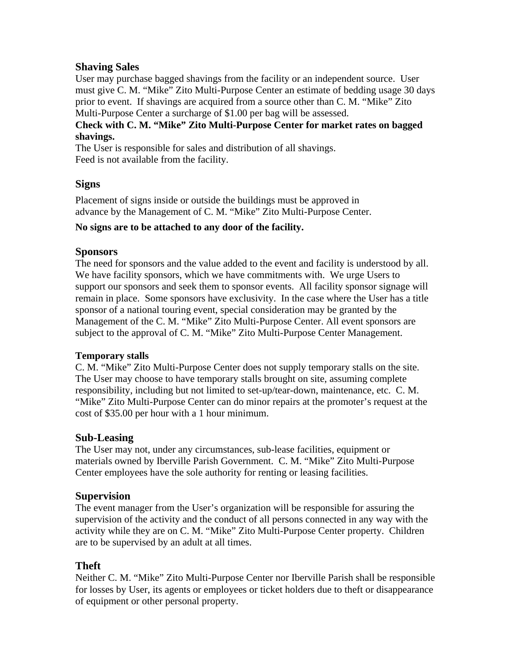## **Shaving Sales**

User may purchase bagged shavings from the facility or an independent source. User must give C. M. "Mike" Zito Multi-Purpose Center an estimate of bedding usage 30 days prior to event. If shavings are acquired from a source other than C. M. "Mike" Zito Multi-Purpose Center a surcharge of \$1.00 per bag will be assessed.

## **Check with C. M. "Mike" Zito Multi-Purpose Center for market rates on bagged shavings.**

The User is responsible for sales and distribution of all shavings. Feed is not available from the facility.

## **Signs**

Placement of signs inside or outside the buildings must be approved in advance by the Management of C. M. "Mike" Zito Multi-Purpose Center.

## **No signs are to be attached to any door of the facility.**

## **Sponsors**

The need for sponsors and the value added to the event and facility is understood by all. We have facility sponsors, which we have commitments with. We urge Users to support our sponsors and seek them to sponsor events. All facility sponsor signage will remain in place. Some sponsors have exclusivity. In the case where the User has a title sponsor of a national touring event, special consideration may be granted by the Management of the C. M. "Mike" Zito Multi-Purpose Center. All event sponsors are subject to the approval of C. M. "Mike" Zito Multi-Purpose Center Management.

## **Temporary stalls**

C. M. "Mike" Zito Multi-Purpose Center does not supply temporary stalls on the site. The User may choose to have temporary stalls brought on site, assuming complete responsibility, including but not limited to set-up/tear-down, maintenance, etc. C. M. "Mike" Zito Multi-Purpose Center can do minor repairs at the promoter's request at the cost of \$35.00 per hour with a 1 hour minimum.

## **Sub-Leasing**

The User may not, under any circumstances, sub-lease facilities, equipment or materials owned by Iberville Parish Government. C. M. "Mike" Zito Multi-Purpose Center employees have the sole authority for renting or leasing facilities.

## **Supervision**

The event manager from the User's organization will be responsible for assuring the supervision of the activity and the conduct of all persons connected in any way with the activity while they are on C. M. "Mike" Zito Multi-Purpose Center property. Children are to be supervised by an adult at all times.

## **Theft**

Neither C. M. "Mike" Zito Multi-Purpose Center nor Iberville Parish shall be responsible for losses by User, its agents or employees or ticket holders due to theft or disappearance of equipment or other personal property.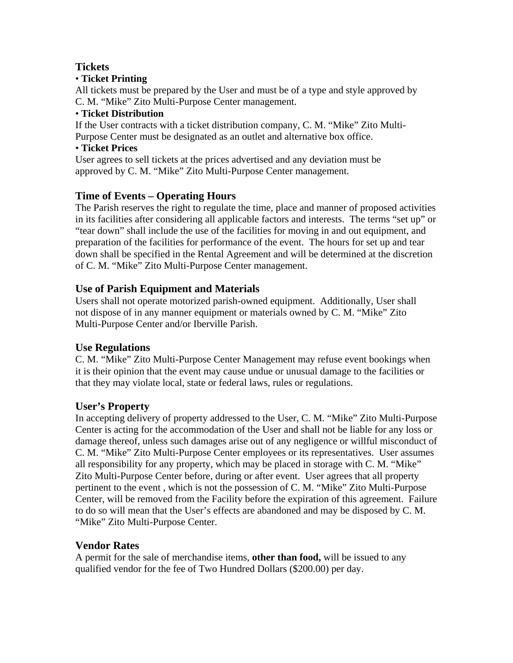# **Tickets**

## • **Ticket Printing**

All tickets must be prepared by the User and must be of a type and style approved by C. M. "Mike" Zito Multi-Purpose Center management.

## • **Ticket Distribution**

If the User contracts with a ticket distribution company, C. M. "Mike" Zito Multi-Purpose Center must be designated as an outlet and alternative box office.

## • **Ticket Prices**

User agrees to sell tickets at the prices advertised and any deviation must be approved by C. M. "Mike" Zito Multi-Purpose Center management.

# **Time of Events – Operating Hours**

The Parish reserves the right to regulate the time, place and manner of proposed activities in its facilities after considering all applicable factors and interests. The terms "set up" or "tear down" shall include the use of the facilities for moving in and out equipment, and preparation of the facilities for performance of the event. The hours for set up and tear down shall be specified in the Rental Agreement and will be determined at the discretion of C. M. "Mike" Zito Multi-Purpose Center management.

# **Use of Parish Equipment and Materials**

Users shall not operate motorized parish-owned equipment. Additionally, User shall not dispose of in any manner equipment or materials owned by C. M. "Mike" Zito Multi-Purpose Center and/or Iberville Parish.

# **Use Regulations**

C. M. "Mike" Zito Multi-Purpose Center Management may refuse event bookings when it is their opinion that the event may cause undue or unusual damage to the facilities or that they may violate local, state or federal laws, rules or regulations.

# **User's Property**

In accepting delivery of property addressed to the User, C. M. "Mike" Zito Multi-Purpose Center is acting for the accommodation of the User and shall not be liable for any loss or damage thereof, unless such damages arise out of any negligence or willful misconduct of C. M. "Mike" Zito Multi-Purpose Center employees or its representatives. User assumes all responsibility for any property, which may be placed in storage with C. M. "Mike" Zito Multi-Purpose Center before, during or after event. User agrees that all property pertinent to the event , which is not the possession of C. M. "Mike" Zito Multi-Purpose Center, will be removed from the Facility before the expiration of this agreement. Failure to do so will mean that the User's effects are abandoned and may be disposed by C. M. "Mike" Zito Multi-Purpose Center.

# **Vendor Rates**

A permit for the sale of merchandise items, **other than food,** will be issued to any qualified vendor for the fee of Two Hundred Dollars (\$200.00) per day.